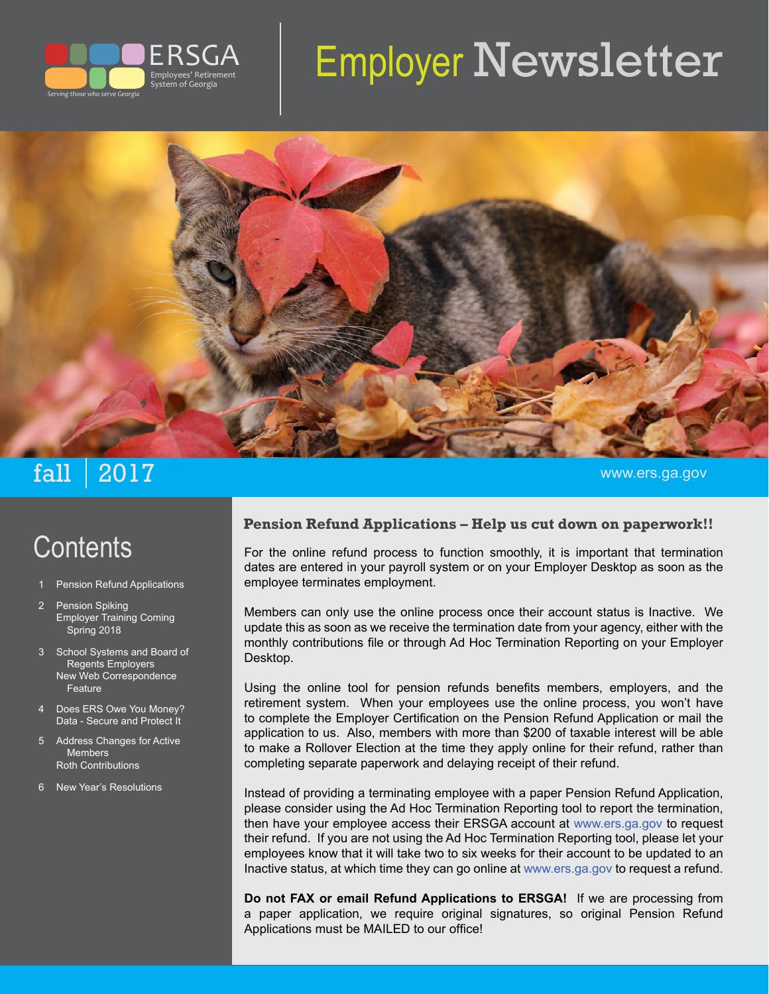

# Employer Newsletter



## $\mathtt{fall} \mid 2017$  . The contract of the contract of the contract of the contract of the contract of the contract of the contract of the contract of the contract of the contract of the contract of the contract of the contrac

# **Contents**

- Pension Refund Applications
- Pension Spiking Employer Training Coming Spring 2018
- 3 School Systems and Board of Regents Employers New Web Correspondence Feature
- Does ERS Owe You Money? Data - Secure and Protect It
- 5 Address Changes for Active Members Roth Contributions
- 6 New Year's Resolutions

#### **Pension Refund Applications – Help us cut down on paperwork!!**

For the online refund process to function smoothly, it is important that termination dates are entered in your payroll system or on your Employer Desktop as soon as the employee terminates employment.

Members can only use the online process once their account status is Inactive. We update this as soon as we receive the termination date from your agency, either with the monthly contributions file or through Ad Hoc Termination Reporting on your Employer Desktop.

Using the online tool for pension refunds benefits members, employers, and the retirement system. When your employees use the online process, you won't have to complete the Employer Certification on the Pension Refund Application or mail the application to us. Also, members with more than \$200 of taxable interest will be able to make a Rollover Election at the time they apply online for their refund, rather than completing separate paperwork and delaying receipt of their refund.

Instead of providing a terminating employee with a paper Pension Refund Application, please consider using the Ad Hoc Termination Reporting tool to report the termination, then have your employee access their ERSGA account at [www.ers.ga.gov](http://www.ers.ga.gov) to request their refund. If you are not using the Ad Hoc Termination Reporting tool, please let your employees know that it will take two to six weeks for their account to be updated to an Inactive status, at which time they can go online at [www.ers.ga.gov](http://www.ers.ga.gov) to request a refund.

**Do not FAX or email Refund Applications to ERSGA!** If we are processing from a paper application, we require original signatures, so original Pension Refund Applications must be MAILED to our office!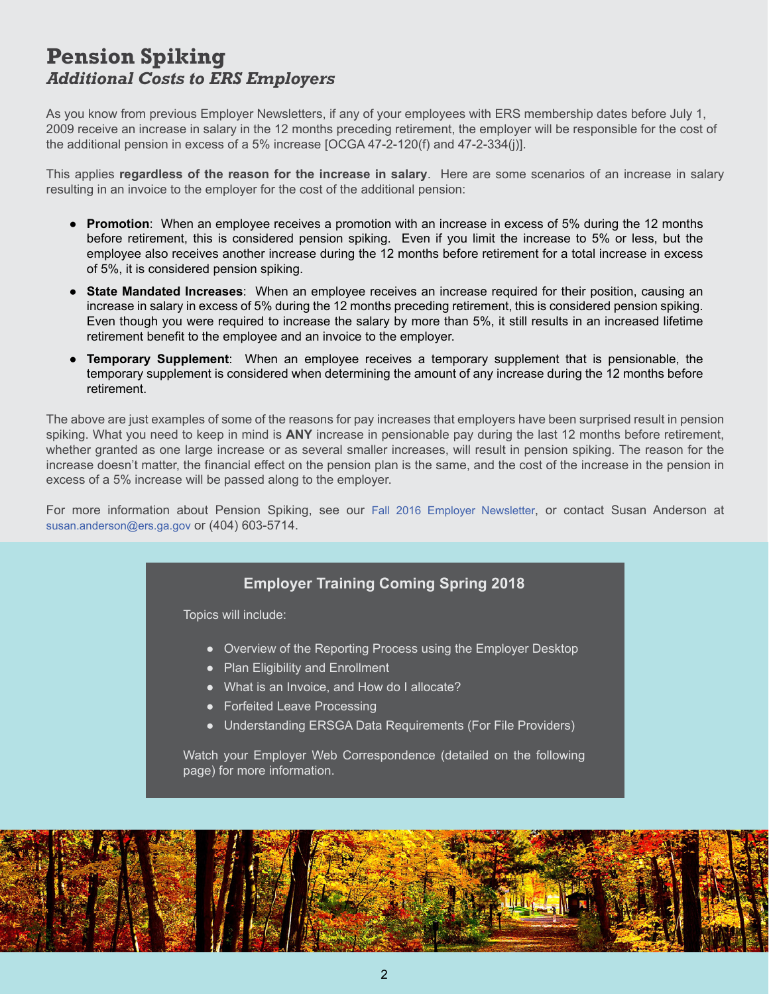#### **Pension Spiking** *Additional Costs to ERS Employers*

As you know from previous Employer Newsletters, if any of your employees with ERS membership dates before July 1, 2009 receive an increase in salary in the 12 months preceding retirement, the employer will be responsible for the cost of the additional pension in excess of a 5% increase [OCGA 47-2-120(f) and 47-2-334(j)].

This applies **regardless of the reason for the increase in salary**. Here are some scenarios of an increase in salary resulting in an invoice to the employer for the cost of the additional pension:

- **Promotion**: When an employee receives a promotion with an increase in excess of 5% during the 12 months before retirement, this is considered pension spiking. Even if you limit the increase to 5% or less, but the employee also receives another increase during the 12 months before retirement for a total increase in excess of 5%, it is considered pension spiking.
- **State Mandated Increases**: When an employee receives an increase required for their position, causing an increase in salary in excess of 5% during the 12 months preceding retirement, this is considered pension spiking. Even though you were required to increase the salary by more than 5%, it still results in an increased lifetime retirement benefit to the employee and an invoice to the employer.
- **Temporary Supplement**: When an employee receives a temporary supplement that is pensionable, the temporary supplement is considered when determining the amount of any increase during the 12 months before retirement.

The above are just examples of some of the reasons for pay increases that employers have been surprised result in pension spiking. What you need to keep in mind is **ANY** increase in pensionable pay during the last 12 months before retirement, whether granted as one large increase or as several smaller increases, will result in pension spiking. The reason for the increase doesn't matter, the financial effect on the pension plan is the same, and the cost of the increase in the pension in excess of a 5% increase will be passed along to the employer.

For more information about Pension Spiking, see our [Fall 2016 Employer Newsletter,](http://www.ers.ga.gov/Docs/Formsandpubs/EmployerNewsletterFall2016.pdf) or contact Susan Anderson at [susan.anderson@ers.ga.gov](mailto:susan.anderson@ers.ga.gov) or (404) 603-5714.

#### **Employer Training Coming Spring 2018**

Topics will include:

- Overview of the Reporting Process using the Employer Desktop
- Plan Eligibility and Enrollment
- What is an Invoice, and How do I allocate?
- Forfeited Leave Processing
- Understanding ERSGA Data Requirements (For File Providers)

Watch your Employer Web Correspondence (detailed on the following page) for more information.

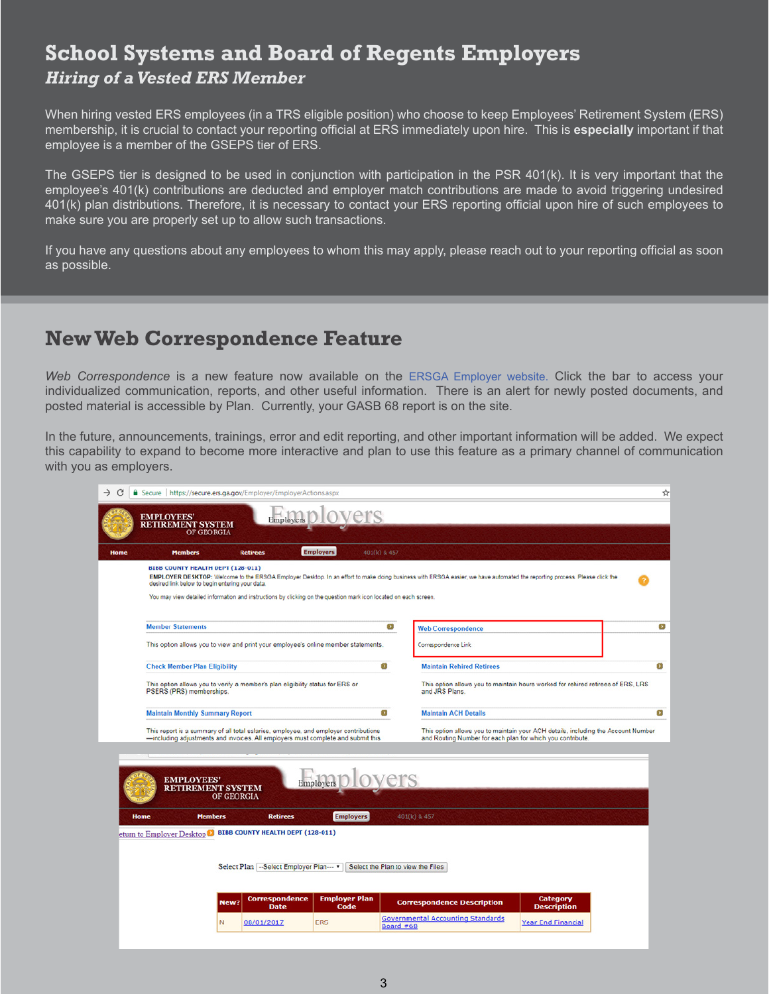### **School Systems and Board of Regents Employers** *Hiring of a Vested ERS Member*

When hiring vested ERS employees (in a TRS eligible position) who choose to keep Employees' Retirement System (ERS) membership, it is crucial to contact your reporting official at ERS immediately upon hire. This is **especially** important if that employee is a member of the GSEPS tier of ERS.

The GSEPS tier is designed to be used in conjunction with participation in the PSR 401(k). It is very important that the employee's 401(k) contributions are deducted and employer match contributions are made to avoid triggering undesired 401(k) plan distributions. Therefore, it is necessary to contact your ERS reporting official upon hire of such employees to make sure you are properly set up to allow such transactions.

If you have any questions about any employees to whom this may apply, please reach out to your reporting official as soon as possible.

### **New Web Correspondence Feature**

*Web Correspondence* is a new feature now available on the [ERSGA Employer w](https://secure.ers.ga.gov/Employer/EmployerLogon.aspx)ebsite. Click the bar to access your individualized communication, reports, and other useful information. There is an alert for newly posted documents, and posted material is accessible by Plan. Currently, your GASB 68 report is on the site.

In the future, announcements, trainings, error and edit reporting, and other important information will be added. We expect this capability to expand to become more interactive and plan to use this feature as a primary channel of communication with you as employers.

| <b>EMPLOYEES'</b>                        | <b>RETIREMENT SYSTEM</b>                                                                    |                                                             | Employers D LOVETS                                                                                                                                                       |                                   |                                                                                                                                                                           |                                       |  |
|------------------------------------------|---------------------------------------------------------------------------------------------|-------------------------------------------------------------|--------------------------------------------------------------------------------------------------------------------------------------------------------------------------|-----------------------------------|---------------------------------------------------------------------------------------------------------------------------------------------------------------------------|---------------------------------------|--|
|                                          | OF GEORGIA<br><b>Members</b>                                                                | <b>Retirees</b>                                             | <b>Employers</b>                                                                                                                                                         | 401(k) & 457                      |                                                                                                                                                                           |                                       |  |
|                                          | <b>BIBB COUNTY HEALTH DEPT (128-011)</b><br>desired link below to begin entering your data. |                                                             | You may view detailed information and instructions by clicking on the question mark icon located on each screen.                                                         |                                   | EMPLOYER DESKTOP: Welcome to the ERSGA Employer Desktop. In an effort to make doing business with ERSGA easier, we have automated the reporting process. Please click the |                                       |  |
| <b>Member Statements</b>                 |                                                                                             |                                                             |                                                                                                                                                                          | $\bullet$                         | <b>Web Correspondence</b>                                                                                                                                                 |                                       |  |
|                                          |                                                                                             |                                                             | This option allows you to view and print your employee's online member statements.                                                                                       |                                   | Correspondence Link                                                                                                                                                       |                                       |  |
|                                          | <b>Check Member Plan Eligibility</b>                                                        |                                                             |                                                                                                                                                                          | $\overline{ }$                    | <b>Maintain Rehired Retirees</b>                                                                                                                                          |                                       |  |
|                                          | PSERS (PRS) memberships.                                                                    |                                                             | This option allows you to verify a member's plan eligibility status for ERS or                                                                                           |                                   | This option allows you to maintain hours worked for rehired retirees of ERS, LRS<br>and JRS Plans.                                                                        |                                       |  |
|                                          | <b>Maintain Monthly Summary Report</b>                                                      |                                                             |                                                                                                                                                                          | $\rightarrow$                     | <b>Maintain ACH Details</b>                                                                                                                                               |                                       |  |
|                                          | <b>EMPLOYEES'</b><br><b>RETIREMENT SYSTEM</b>                                               | <b>OF GEORGIA</b>                                           | This report is a summary of all total salaries, employee, and employer contributions<br>-including adjustments and invoices. All employers must complete and submit this | Employers D LOVETS                | This option allows you to maintain your ACH details, including the Account Number<br>and Routing Number for each plan for which you contribute.                           |                                       |  |
| <b>Home</b><br>eturn to Employer Desktop | <b>Members</b>                                                                              | <b>Retirees</b><br><b>BIBB COUNTY HEALTH DEPT (128-011)</b> |                                                                                                                                                                          | <b>Employers</b>                  | 401(k) & 457                                                                                                                                                              |                                       |  |
|                                          |                                                                                             | Select Plan -- Select Employer Plan---                      |                                                                                                                                                                          | Select the Plan to view the Files |                                                                                                                                                                           |                                       |  |
|                                          | New?                                                                                        | <b>Correspondence</b>                                       | <b>Employer Plan</b>                                                                                                                                                     |                                   | <b>Correspondence Description</b>                                                                                                                                         | <b>Category</b><br><b>Description</b> |  |
|                                          |                                                                                             | <b>Date</b>                                                 | Code                                                                                                                                                                     |                                   |                                                                                                                                                                           |                                       |  |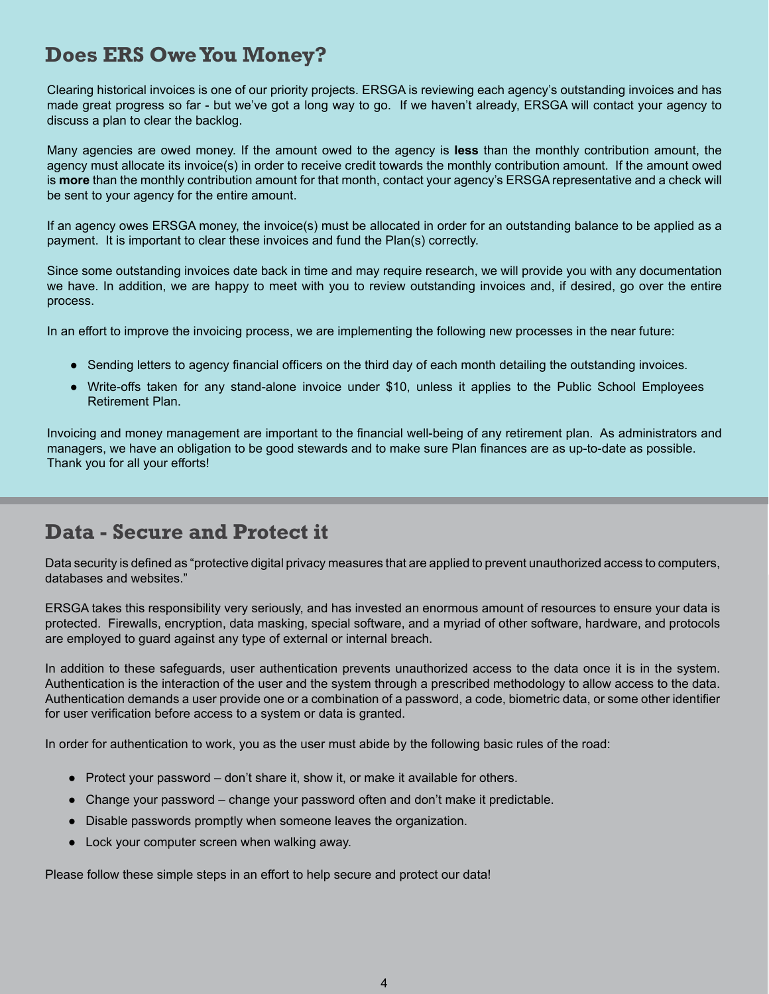## **Does ERS Owe You Money?**

Clearing historical invoices is one of our priority projects. ERSGA is reviewing each agency's outstanding invoices and has made great progress so far - but we've got a long way to go. If we haven't already, ERSGA will contact your agency to discuss a plan to clear the backlog.

Many agencies are owed money. If the amount owed to the agency is **less** than the monthly contribution amount, the agency must allocate its invoice(s) in order to receive credit towards the monthly contribution amount. If the amount owed is **more** than the monthly contribution amount for that month, contact your agency's ERSGA representative and a check will be sent to your agency for the entire amount.

If an agency owes ERSGA money, the invoice(s) must be allocated in order for an outstanding balance to be applied as a payment. It is important to clear these invoices and fund the Plan(s) correctly.

Since some outstanding invoices date back in time and may require research, we will provide you with any documentation we have. In addition, we are happy to meet with you to review outstanding invoices and, if desired, go over the entire process.

In an effort to improve the invoicing process, we are implementing the following new processes in the near future:

- Sending letters to agency financial officers on the third day of each month detailing the outstanding invoices.
- Write-offs taken for any stand-alone invoice under \$10, unless it applies to the Public School Employees Retirement Plan.

Invoicing and money management are important to the financial well-being of any retirement plan. As administrators and managers, we have an obligation to be good stewards and to make sure Plan finances are as up-to-date as possible. Thank you for all your efforts!

#### **Data - Secure and Protect it**

Data security is defined as "protective digital privacy measures that are applied to prevent unauthorized access to computers, databases and websites."

ERSGA takes this responsibility very seriously, and has invested an enormous amount of resources to ensure your data is protected. Firewalls, encryption, data masking, special software, and a myriad of other software, hardware, and protocols are employed to guard against any type of external or internal breach.

In addition to these safeguards, user authentication prevents unauthorized access to the data once it is in the system. Authentication is the interaction of the user and the system through a prescribed methodology to allow access to the data. Authentication demands a user provide one or a combination of a password, a code, biometric data, or some other identifier for user verification before access to a system or data is granted.

In order for authentication to work, you as the user must abide by the following basic rules of the road:

- Protect your password don't share it, show it, or make it available for others.
- Change your password change your password often and don't make it predictable.
- Disable passwords promptly when someone leaves the organization.
- Lock your computer screen when walking away.

Please follow these simple steps in an effort to help secure and protect our data!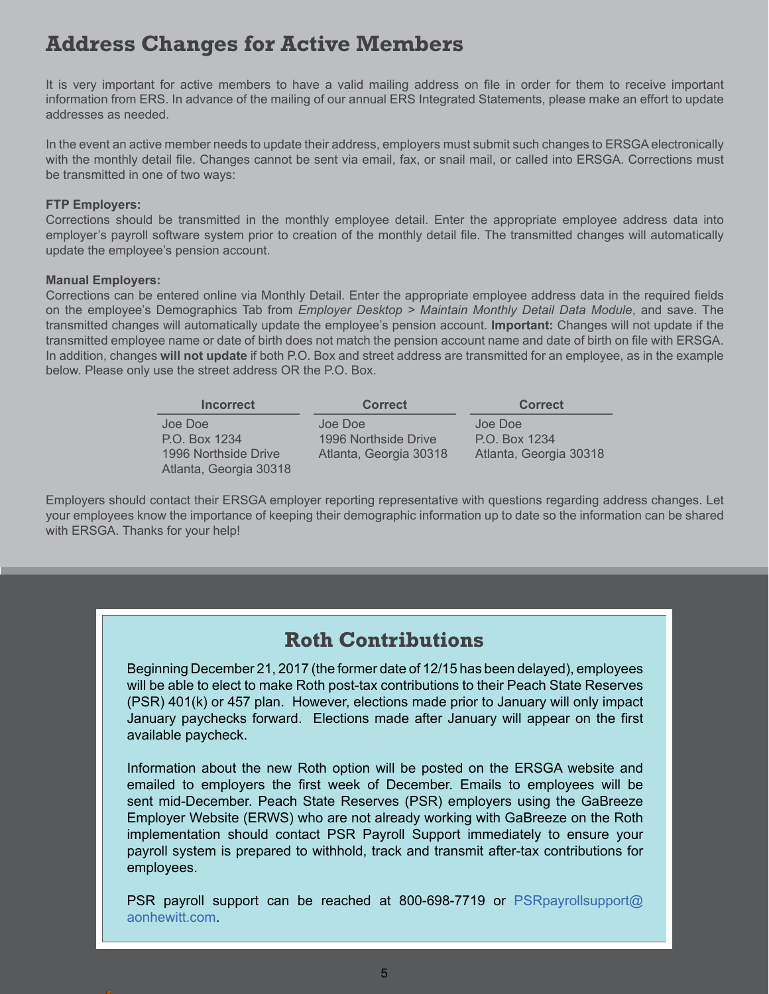## **Address Changes for Active Members**

It is very important for active members to have a valid mailing address on file in order for them to receive important information from ERS. In advance of the mailing of our annual ERS Integrated Statements, please make an effort to update addresses as needed.

In the event an active member needs to update their address, employers must submit such changes to ERSGA electronically with the monthly detail file. Changes cannot be sent via email, fax, or snail mail, or called into ERSGA. Corrections must be transmitted in one of two ways:

#### **FTP Employers:**

Corrections should be transmitted in the monthly employee detail. Enter the appropriate employee address data into employer's payroll software system prior to creation of the monthly detail file. The transmitted changes will automatically update the employee's pension account.

#### **Manual Employers:**

Corrections can be entered online via Monthly Detail. Enter the appropriate employee address data in the required fields on the employee's Demographics Tab from *Employer Desktop > Maintain Monthly Detail Data Module*, and save. The transmitted changes will automatically update the employee's pension account. **Important:** Changes will not update if the transmitted employee name or date of birth does not match the pension account name and date of birth on file with ERSGA. In addition, changes **will not update** if both P.O. Box and street address are transmitted for an employee, as in the example below. Please only use the street address OR the P.O. Box.

| <b>Incorrect</b>       | <b>Correct</b>         | <b>Correct</b>         |
|------------------------|------------------------|------------------------|
| Joe Doe                | Joe Doe                | Joe Doe                |
| P.O. Box 1234          | 1996 Northside Drive   | P.O. Box 1234          |
| 1996 Northside Drive   | Atlanta, Georgia 30318 | Atlanta, Georgia 30318 |
| Atlanta, Georgia 30318 |                        |                        |

Employers should contact their ERSGA employer reporting representative with questions regarding address changes. Let your employees know the importance of keeping their demographic information up to date so the information can be shared with ERSGA. Thanks for your help!

#### **Roth Contributions**

Beginning December 21, 2017 (the former date of 12/15 has been delayed), employees will be able to elect to make Roth post-tax contributions to their Peach State Reserves (PSR) 401(k) or 457 plan. However, elections made prior to January will only impact January paychecks forward. Elections made after January will appear on the first available paycheck.

Information about the new Roth option will be posted on the ERSGA website and emailed to employers the first week of December. Emails to employees will be sent mid-December. Peach State Reserves (PSR) employers using the GaBreeze Employer Website (ERWS) who are not already working with GaBreeze on the Roth implementation should contact PSR Payroll Support immediately to ensure your payroll system is prepared to withhold, track and transmit after-tax contributions for employees.

PSR payroll support can be reached at 800-698-7719 or [PSRpayrollsupport@](mailto:psrpayrollsupport@aonhewitt.com) [aonhewitt.com](mailto:psrpayrollsupport@aonhewitt.com).